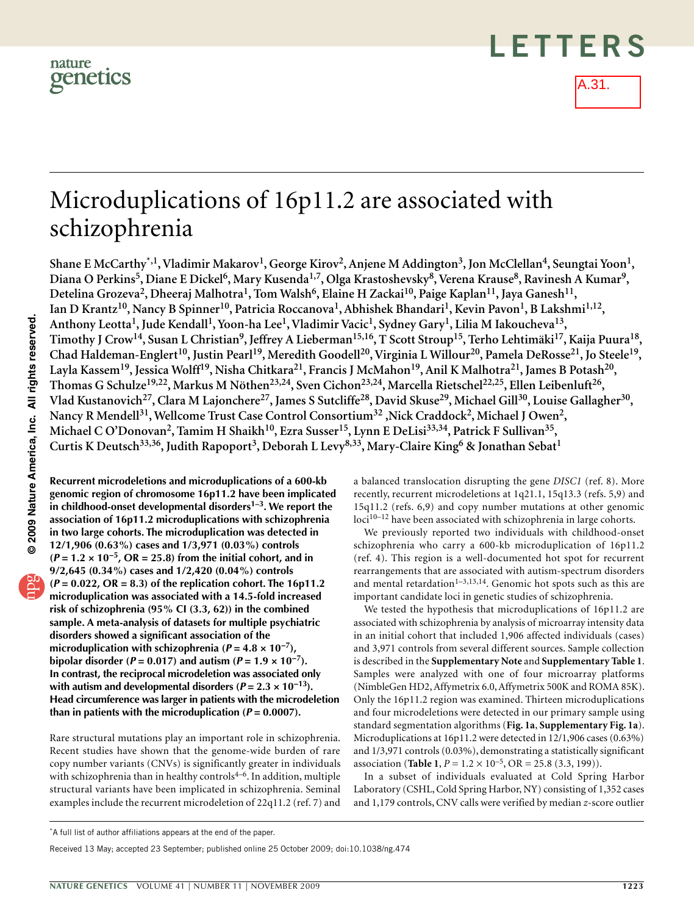



A.31.

# Microduplications of 16p11.2 are associated with schizophrenia

Shane E McCarthy<sup>\*,1</sup>, Vladimir Makarov<sup>1</sup>, George Kirov<sup>2</sup>, Anjene M Addington<sup>3</sup>, Jon McClellan<sup>4</sup>, Seungtai Yoon<sup>1</sup>, Diana O Perkins<sup>5</sup>, Diane E Dickel<sup>6</sup>, Mary Kusenda<sup>1,7</sup>, Olga Krastoshevsky<sup>8</sup>, Verena Krause<sup>8</sup>, Ravinesh A Kumar<sup>9</sup>, Detelina Grozeva<sup>2</sup>, Dheeraj Malhotra<sup>1</sup>, Tom Walsh<sup>6</sup>, Elaine H Zackai<sup>10</sup>, Paige Kaplan<sup>11</sup>, Jaya Ganesh<sup>11</sup>, **Ian D Krantz10, Nancy B Spinner10, Patricia Roccanova1, Abhishek Bhandari1, Kevin Pavon1, B Lakshmi1,12,**  Anthony Leotta<sup>1</sup>, Jude Kendall<sup>1</sup>, Yoon-ha Lee<sup>1</sup>, Vladimir Vacic<sup>1</sup>, Sydney Gary<sup>1</sup>, Lilia M Iakoucheva<sup>13</sup>, **Timothy J Crow14, Susan L Christian9, Jeffrey A Lieberman15,16, T Scott Stroup15, Terho Lehtimäki17, Kaija Puura18, Chad Haldeman-Englert10, Justin Pearl19, Meredith Goodell20, Virginia L Willour20, Pamela DeRosse21, Jo Steele19,**  Layla Kassem<sup>19</sup>, Jessica Wolff<sup>19</sup>, Nisha Chitkara<sup>21</sup>, Francis J McMahon<sup>19</sup>, Anil K Malhotra<sup>21</sup>, James B Potash<sup>20</sup>, Thomas G Schulze<sup>19,22</sup>, Markus M Nöthen<sup>23,24</sup>, Sven Cichon<sup>23,24</sup>, Marcella Rietschel<sup>22,25</sup>, Ellen Leibenluft<sup>26</sup>, **Vlad Kustanovich27, Clara M Lajonchere27, James S Sutcliffe28, David Skuse29, Michael Gill30, Louise Gallagher30,**  Nancy R Mendell<sup>31</sup>, Wellcome Trust Case Control Consortium<sup>32</sup>, Nick Craddock<sup>2</sup>, Michael J Owen<sup>2</sup>, Michael C O'Donovan<sup>2</sup>, Tamim H Shaikh<sup>10</sup>, Ezra Susser<sup>15</sup>, Lynn E DeLisi<sup>33,34</sup>, Patrick F Sullivan<sup>35</sup>, **Curtis K Deutsch33,36, Judith Rapoport3, Deborah L Levy8,33, Mary-Claire King6 & Jonathan Sebat1**

**Recurrent microdeletions and microduplications of a 600-kb genomic region of chromosome 16p11.2 have been implicated in childhood-onset developmental disorders1–3. We report the association of 16p11.2 microduplications with schizophrenia in two large cohorts. The microduplication was detected in 12/1,906 (0.63%) cases and 1/3,971 (0.03%) controls (***P* **= 1.2 × 10−5, OR = 25.8) from the initial cohort, and in 9/2,645 (0.34%) cases and 1/2,420 (0.04%) controls (***P* **= 0.022, OR = 8.3) of the replication cohort. The 16p11.2 microduplication was associated with a 14.5-fold increased risk of schizophrenia (95% CI (3.3, 62)) in the combined sample. A meta-analysis of datasets for multiple psychiatric disorders showed a significant association of the microduplication** with schizophrenia  $(P = 4.8 \times 10^{-7})$ , *bipolar disorder*  $(P = 0.017)$  and autism  $(P = 1.9 \times 10^{-7})$ . **In contrast, the reciprocal microdeletion was associated only with autism and developmental disorders**  $(P = 2.3 \times 10^{-13})$ . **Head circumference was larger in patients with the microdeletion than in patients with the microduplication (***P* **= 0.0007).**

Rare structural mutations play an important role in schizophrenia. Recent studies have shown that the genome-wide burden of rare copy number variants (CNVs) is significantly greater in individuals with schizophrenia than in healthy controls $4-6$ . In addition, multiple structural variants have been implicated in schizophrenia. Seminal examples include the recurrent microdeletion of 22q11.2 (ref. 7) and

a balanced translocation disrupting the gene *DISC1* (ref. 8). More recently, recurrent microdeletions at 1q21.1, 15q13.3 (refs. 5,9) and 15q11.2 (refs. 6,9) and copy number mutations at other genomic loci<sup>10-12</sup> have been associated with schizophrenia in large cohorts.

We previously reported two individuals with childhood-onset schizophrenia who carry a 600-kb microduplication of 16p11.2 (ref. 4). This region is a well-documented hot spot for recurrent rearrangements that are associated with autism-spectrum disorders and mental retardation<sup>1-3,13,14</sup>. Genomic hot spots such as this are important candidate loci in genetic studies of schizophrenia.

We tested the hypothesis that microduplications of 16p11.2 are associated with schizophrenia by analysis of microarray intensity data in an initial cohort that included 1,906 affected individuals (cases) and 3,971 controls from several different sources. Sample collection is described in the **Supplementary Note** and **Supplementary Table 1**. Samples were analyzed with one of four microarray platforms (NimbleGen HD2, Affymetrix 6.0, Affymetrix 500K and ROMA 85K). Only the 16p11.2 region was examined. Thirteen microduplications and four microdeletions were detected in our primary sample using standard segmentation algorithms (**[Fig. 1a](#page-1-0)**, **Supplementary Fig. 1a**). Microduplications at 16p11.2 were detected in 12/1,906 cases (0.63%) and 1/3,971 controls (0.03%), demonstrating a statistically significant association (**[Table 1](#page-1-1)**,  $P = 1.2 \times 10^{-5}$ , OR = 25.8 (3.3, 199)).

In a subset of individuals evaluated at Cold Spring Harbor Laboratory (CSHL, Cold Spring Harbor, NY) consisting of 1,352 cases and 1,179 controls, CNV calls were verified by median *z*-score outlier

Received 13 May; accepted 23 September; published online 25 October 2009; [doi:10.1038/ng.474](http://www.nature.com/doifinder/10.1038/ng.474)

<sup>\*</sup>A full list of author affiliations appears at the end of the paper.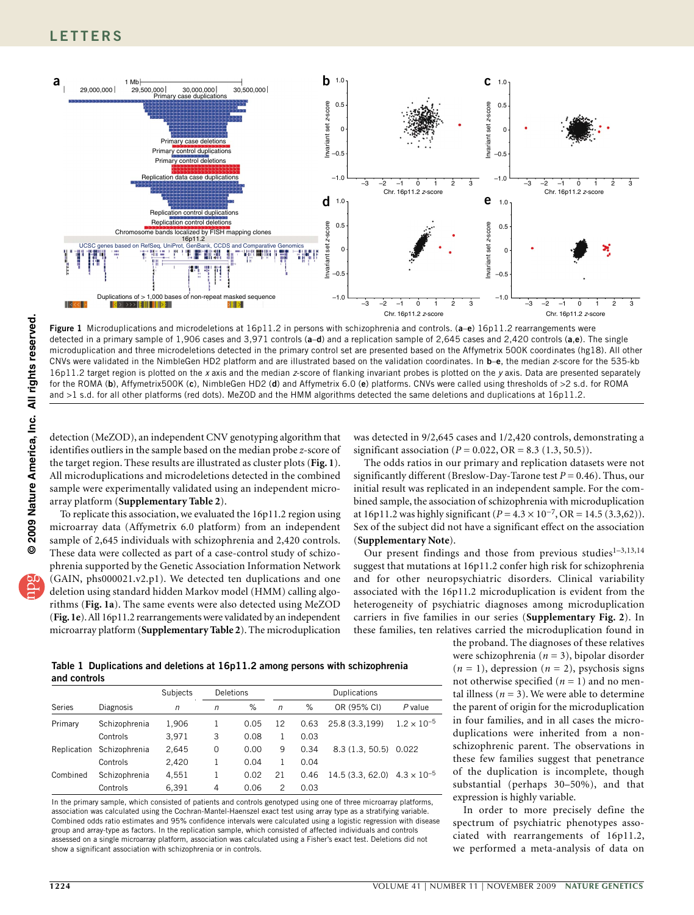

<span id="page-1-0"></span>**Figure 1** Microduplications and microdeletions at 16p11.2 in persons with schizophrenia and controls. (**a**–**e**) 16p11.2 rearrangements were detected in a primary sample of 1,906 cases and 3,971 controls (**a**–**d**) and a replication sample of 2,645 cases and 2,420 controls (**a**,**e**). The single microduplication and three microdeletions detected in the primary control set are presented based on the Affymetrix 500K coordinates (hg18). All other CNVs were validated in the NimbleGen HD2 platform and are illustrated based on the validation coordinates. In **b**–**e**, the median *z*-score for the 535-kb 16p11.2 target region is plotted on the *x* axis and the median *z*-score of flanking invariant probes is plotted on the *y* axis. Data are presented separately for the ROMA (**b**), Affymetrix500K (**c**), NimbleGen HD2 (**d**) and Affymetrix 6.0 (**e**) platforms. CNVs were called using thresholds of >2 s.d. for ROMA and >1 s.d. for all other platforms (red dots). MeZOD and the HMM algorithms detected the same deletions and duplications at 16p11.2.

detection (MeZOD), an independent CNV genotyping algorithm that identifies outliers in the sample based on the median probe *z*-score of the target region. These results are illustrated as cluster plots (**[Fig. 1](#page-1-0)**). All microduplications and microdeletions detected in the combined sample were experimentally validated using an independent microarray platform (**Supplementary Table 2**).

To replicate this association, we evaluated the 16p11.2 region using microarray data (Affymetrix 6.0 platform) from an independent sample of 2,645 individuals with schizophrenia and 2,420 controls. These data were collected as part of a case-control study of schizophrenia supported by the Genetic Association Information Network (GAIN, phs000021.v2.p1). We detected ten duplications and one deletion using standard hidden Markov model (HMM) calling algorithms (**[Fig. 1a](#page-1-0)**). The same events were also detected using MeZOD (**[Fig. 1e](#page-1-0)**). All 16p11.2 rearrangements were validated by an independent microarray platform (**Supplementary Table 2**). The microduplication

was detected in 9/2,645 cases and 1/2,420 controls, demonstrating a significant association ( $P = 0.022$ ,  $OR = 8.3$  (1.3, 50.5)).

The odds ratios in our primary and replication datasets were not significantly different (Breslow-Day-Tarone test  $P = 0.46$ ). Thus, our initial result was replicated in an independent sample. For the combined sample, the association of schizophrenia with microduplication at 16p11.2 was highly significant (*P* = 4.3 × 10−7, OR = 14.5 (3.3,62)). Sex of the subject did not have a significant effect on the association (**Supplementary Note**).

Our present findings and those from previous studies<sup>1-3,13,14</sup> suggest that mutations at 16p11.2 confer high risk for schizophrenia and for other neuropsychiatric disorders. Clinical variability associated with the 16p11.2 microduplication is evident from the heterogeneity of psychiatric diagnoses among microduplication carriers in five families in our series (**Supplementary Fig. 2**). In these families, ten relatives carried the microduplication found in

the proband. The diagnoses of these relatives were schizophrenia (*n* = 3), bipolar disorder  $(n = 1)$ , depression  $(n = 2)$ , psychosis signs not otherwise specified  $(n = 1)$  and no mental illness ( $n = 3$ ). We were able to determine the parent of origin for the microduplication in four families, and in all cases the microduplications were inherited from a nonschizophrenic parent. The observations in these few families suggest that penetrance of the duplication is incomplete, though substantial (perhaps 30–50%), and that expression is highly variable.

In order to more precisely define the spectrum of psychiatric phenotypes associated with rearrangements of 16p11.2, we performed a meta-analysis of data on

<span id="page-1-1"></span>**Table 1 Duplications and deletions at 16p11.2 among persons with schizophrenia and controls**

|             |               | Subjects   | Deletions |      | Duplications   |      |                                       |                      |  |
|-------------|---------------|------------|-----------|------|----------------|------|---------------------------------------|----------------------|--|
| Series      | Diagnosis     | $\sqrt{n}$ | n         | %    | $\sqrt{n}$     | %    | OR (95% CI)                           | P value              |  |
| Primary     | Schizophrenia | 1.906      |           | 0.05 | 12             | 0.63 | 25.8 (3.3.199)                        | $1.2 \times 10^{-5}$ |  |
|             | Controls      | 3.971      | 3         | 0.08 |                | 0.03 |                                       |                      |  |
| Replication | Schizophrenia | 2,645      | $\Omega$  | 0.00 | 9              | 0.34 | 8.3(1.3.50.5)                         | 0.022                |  |
|             | Controls      | 2.420      | 1         | 0.04 |                | 0.04 |                                       |                      |  |
| Combined    | Schizophrenia | 4.551      |           | 0.02 | 21             | 0.46 | 14.5 (3.3, 62.0) $4.3 \times 10^{-5}$ |                      |  |
|             | Controls      | 6,391      | 4         | 0.06 | $\overline{c}$ | 0.03 |                                       |                      |  |

In the primary sample, which consisted of patients and controls genotyped using one of three microarray platforms, association was calculated using the Cochran-Mantel-Haenszel exact test using array type as a stratifying variable. Combined odds ratio estimates and 95% confidence intervals were calculated using a logistic regression with disease group and array-type as factors. In the replication sample, which consisted of affected individuals and controls assessed on a single microarray platform, association was calculated using a Fisher's exact test. Deletions did not show a significant association with schizophrenia or in controls.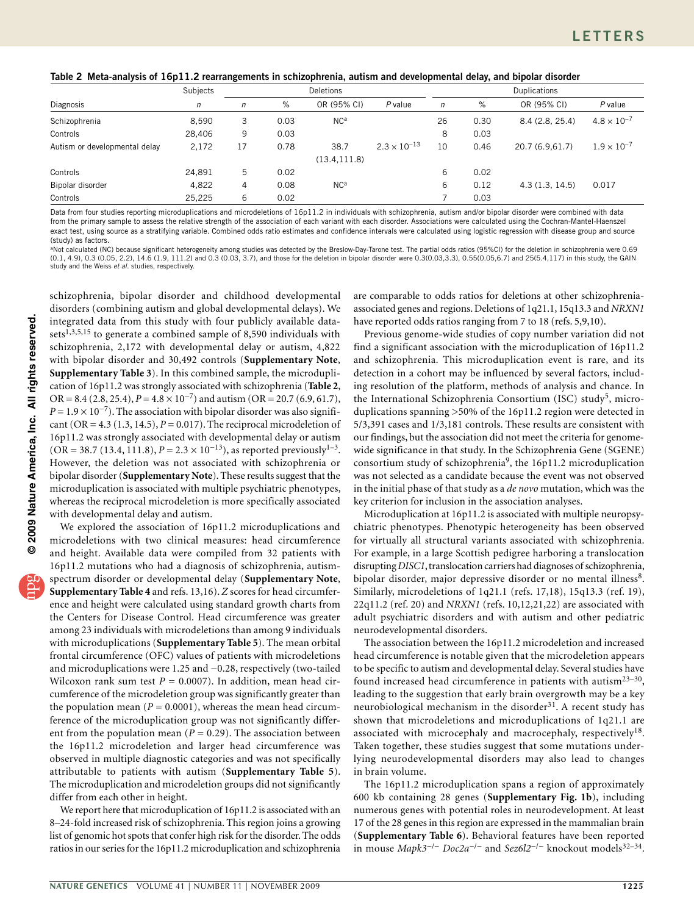<span id="page-2-0"></span>

| Table 2 Meta-analysis of 16p11.2 rearrangements in schizophrenia, autism and developmental delay, and bipolar disorder |  |  |  |  |
|------------------------------------------------------------------------------------------------------------------------|--|--|--|--|
|------------------------------------------------------------------------------------------------------------------------|--|--|--|--|

|                               | <b>Subjects</b> | Deletions  |      |                 |                       | <b>Duplications</b> |      |                 |                      |
|-------------------------------|-----------------|------------|------|-----------------|-----------------------|---------------------|------|-----------------|----------------------|
| Diagnosis                     | п               | $\sqrt{n}$ | %    | OR (95% CI)     | P value               | $\sqrt{n}$          | %    | OR (95% CI)     | $P$ value            |
| Schizophrenia                 | 8.590           | 3          | 0.03 | NC <sup>a</sup> |                       | 26                  | 0.30 | 8.4 (2.8, 25.4) | $4.8 \times 10^{-7}$ |
| Controls                      | 28,406          | 9          | 0.03 |                 |                       | 8                   | 0.03 |                 |                      |
| Autism or developmental delay | 2,172           | 17         | 0.78 | 38.7            | $2.3 \times 10^{-13}$ | 10                  | 0.46 | 20.7 (6.9,61.7) | $1.9 \times 10^{-7}$ |
|                               |                 |            |      | (13.4, 111.8)   |                       |                     |      |                 |                      |
| Controls                      | 24,891          | 5          | 0.02 |                 |                       | 6                   | 0.02 |                 |                      |
| Bipolar disorder              | 4.822           | 4          | 0.08 | NC <sup>a</sup> |                       | 6                   | 0.12 | 4.3(1.3, 14.5)  | 0.017                |
| Controls                      | 25.225          | 6          | 0.02 |                 |                       |                     | 0.03 |                 |                      |

Data from four studies reporting microduplications and microdeletions of 16p11.2 in individuals with schizophrenia, autism and/or bipolar disorder were combined with data from the primary sample to assess the relative strength of the association of each variant with each disorder. Associations were calculated using the Cochran-Mantel-Haenszel exact test, using source as a stratifying variable. Combined odds ratio estimates and confidence intervals were calculated using logistic regression with disease group and source (study) as factors.

aNot calculated (NC) because significant heterogeneity among studies was detected by the Breslow-Day-Tarone test. The partial odds ratios (95%CI) for the deletion in schizophrenia were 0.69 (0.1, 4.9), 0.3 (0.05, 2.2), 14.6 (1.9, 111.2) and 0.3 (0.03, 3.7), and those for the deletion in bipolar disorder were 0.3(0.03,3.3), 0.55(0.05,6.7) and 25(5.4,117) in this study, the GAIN study and the Weiss *et al.* studies, respectively.

schizophrenia, bipolar disorder and childhood developmental disorders (combining autism and global developmental delays). We integrated data from this study with four publicly available datasets<sup>1,3,5,15</sup> to generate a combined sample of 8,590 individuals with schizophrenia, 2,172 with developmental delay or autism, 4,822 with bipolar disorder and 30,492 controls (**Supplementary Note**, **Supplementary Table 3**). In this combined sample, the microduplication of 16p11.2 was strongly associated with schizophrenia (**[Table 2](#page-2-0)**, OR = 8.4 (2.8, 25.4),  $P = 4.8 \times 10^{-7}$ ) and autism (OR = 20.7 (6.9, 61.7),  $P = 1.9 \times 10^{-7}$ ). The association with bipolar disorder was also significant (OR =  $4.3$  (1.3, 14.5),  $P = 0.017$ ). The reciprocal microdeletion of 16p11.2 was strongly associated with developmental delay or autism  $(OR = 38.7 (13.4, 111.8), P = 2.3 \times 10^{-13})$ , as reported previously<sup>1-3</sup>. However, the deletion was not associated with schizophrenia or bipolar disorder (**Supplementary Note**). These results suggest that the microduplication is associated with multiple psychiatric phenotypes, whereas the reciprocal microdeletion is more specifically associated with developmental delay and autism.

We explored the association of 16p11.2 microduplications and microdeletions with two clinical measures: head circumference and height. Available data were compiled from 32 patients with 16p11.2 mutations who had a diagnosis of schizophrenia, autismspectrum disorder or developmental delay (**Supplementary Note**, **Supplementary Table 4** and refs. 13,16). *Z* scores for head circumference and height were calculated using standard growth charts from the Centers for Disease Control. Head circumference was greater among 23 individuals with microdeletions than among 9 individuals with microduplications (**Supplementary Table 5**). The mean orbital frontal circumference (OFC) values of patients with microdeletions and microduplications were 1.25 and −0.28, respectively (two-tailed Wilcoxon rank sum test  $P = 0.0007$ ). In addition, mean head circumference of the microdeletion group was significantly greater than the population mean  $(P = 0.0001)$ , whereas the mean head circumference of the microduplication group was not significantly different from the population mean ( $P = 0.29$ ). The association between the 16p11.2 microdeletion and larger head circumference was observed in multiple diagnostic categories and was not specifically attributable to patients with autism (**Supplementary Table 5**). The microduplication and microdeletion groups did not significantly differ from each other in height.

We report here that microduplication of 16p11.2 is associated with an 8–24-fold increased risk of schizophrenia. This region joins a growing list of genomic hot spots that confer high risk for the disorder. The odds ratios in our series for the 16p11.2 microduplication and schizophrenia

are comparable to odds ratios for deletions at other schizophreniaassociated genes and regions. Deletions of 1q21.1, 15q13.3 and *NRXN1* have reported odds ratios ranging from 7 to 18 (refs. 5,9,10).

Previous genome-wide studies of copy number variation did not find a significant association with the microduplication of 16p11.2 and schizophrenia. This microduplication event is rare, and its detection in a cohort may be influenced by several factors, including resolution of the platform, methods of analysis and chance. In the International Schizophrenia Consortium (ISC) study<sup>[5](#page-3-0)</sup>, microduplications spanning >50% of the 16p11.2 region were detected in 5/3,391 cases and 1/3,181 controls. These results are consistent with our findings, but the association did not meet the criteria for genomewide significance in that study. In the Schizophrenia Gene (SGENE) consortium study of schizophrenia<sup>[9](#page-4-0)</sup>, the 16p11.2 microduplication was not selected as a candidate because the event was not observed in the initial phase of that study as a *de novo* mutation, which was the key criterion for inclusion in the association analyses.

Microduplication at 16p11.2 is associated with multiple neuropsychiatric phenotypes. Phenotypic heterogeneity has been observed for virtually all structural variants associated with schizophrenia. For example, in a large Scottish pedigree harboring a translocation disrupting *DISC1*, translocation carriers had diagnoses of schizophrenia, bipolar disorder, major depressive disorder or no mental illness<sup>8</sup>. Similarly, microdeletions of 1q21.1 (refs. 17,18), 15q13.3 (ref. 19), 22q11.2 (ref. 20) and *NRXN1* (refs. 10,12,21,22) are associated with adult psychiatric disorders and with autism and other pediatric neurodevelopmental disorders.

The association between the 16p11.2 microdeletion and increased head circumference is notable given that the microdeletion appears to be specific to autism and developmental delay. Several studies have found increased head circumference in patients with autism<sup>23–30</sup>, leading to the suggestion that early brain overgrowth may be a key neurobiological mechanism in the disorder<sup>31</sup>. A recent study has shown that microdeletions and microduplications of 1q21.1 are associated with microcephaly and macrocephaly, respectively<sup>18</sup>. Taken together, these studies suggest that some mutations underlying neurodevelopmental disorders may also lead to changes in brain volume.

The 16p11.2 microduplication spans a region of approximately 600 kb containing 28 genes (**Supplementary Fig. 1b**), including numerous genes with potential roles in neurodevelopment. At least 17 of the 28 genes in this region are expressed in the mammalian brain (**Supplementary Table 6**). Behavioral features have been reported in mouse *Mapk3*−/− *Doc2a*−/− and *Sez6l2*−/− knockout models32–34.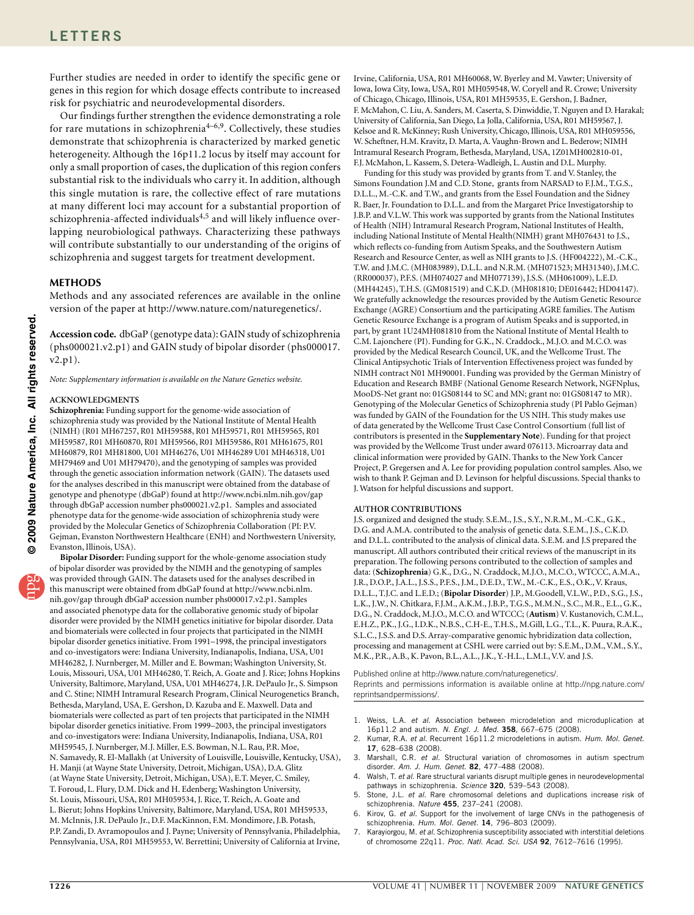Further studies are needed in order to identify the specific gene or genes in this region for which dosage effects contribute to increased risk for psychiatric and neurodevelopmental disorders.

Our findings further strengthen the evidence demonstrating a role for rare mutations in schizophrenia<sup>4-6,9</sup>. Collectively, these studies demonstrate that schizophrenia is characterized by marked genetic heterogeneity. Although the 16p11.2 locus by itself may account for only a small proportion of cases, the duplication of this region confers substantial risk to the individuals who carry it. In addition, although this single mutation is rare, the collective effect of rare mutations at many different loci may account for a substantial proportion of schizophrenia-affected individuals<sup>4,5</sup> and will likely influence overlapping neurobiological pathways. Characterizing these pathways will contribute substantially to our understanding of the origins of schizophrenia and suggest targets for treatment development.

## **Methods**

Methods and any associated references are available in the online version of the paper at http://www.nature.com/naturegenetics/.

**Accession code.** dbGaP (genotype data): GAIN study of schizophrenia (phs000021.v2.p1) and GAIN study of bipolar disorder (phs000017. v2.p1).

*Note: Supplementary information is available on the Nature [Genetics](http://www.nature.com/naturegenetics/) website.*

### **Acknowledgments**

**Schizophrenia:** Funding support for the genome-wide association of schizophrenia study was provided by the National Institute of Mental Health (NIMH) (R01 MH67257, R01 MH59588, R01 MH59571, R01 MH59565, R01 MH59587, R01 MH60870, R01 MH59566, R01 MH59586, R01 MH61675, R01 MH60879, R01 MH81800, U01 MH46276, U01 MH46289 U01 MH46318, U01 MH79469 and U01 MH79470), and the genotyping of samples was provided through the genetic association information network (GAIN). The datasets used for the analyses described in this manuscript were obtained from the database of genotype and phenotype (dbGaP) found at http://www.ncbi.nlm.nih.gov/gap through dbGaP accession number phs000021.v2.p1. Samples and associated phenotype data for the genome-wide association of schizophrenia study were provided by the Molecular Genetics of Schizophrenia Collaboration (PI: P.V. Gejman, Evanston Northwestern Healthcare (ENH) and Northwestern University, Evanston, Illinois, USA).

**Bipolar Disorder:** Funding support for the whole-genome association study of bipolar disorder was provided by the NIMH and the genotyping of samples was provided through GAIN. The datasets used for the analyses described in this manuscript were obtained from dbGaP found at http://www.ncbi.nlm. nih.gov/gap through dbGaP accession number phs000017.v2.p1. Samples and associated phenotype data for the collaborative genomic study of bipolar disorder were provided by the NIMH genetics initiative for bipolar disorder. Data and biomaterials were collected in four projects that participated in the NIMH bipolar disorder genetics initiative. From 1991–1998, the principal investigators and co-investigators were: Indiana University, Indianapolis, Indiana, USA, U01 MH46282, J. Nurnberger, M. Miller and E. Bowman; Washington University, St. Louis, Missouri, USA, U01 MH46280, T. Reich, A. Goate and J. Rice; Johns Hopkins University, Baltimore, Maryland, USA, U01 MH46274, J.R. DePaulo Jr., S. Simpson and C. Stine; NIMH Intramural Research Program, Clinical Neurogenetics Branch, Bethesda, Maryland, USA, E. Gershon, D. Kazuba and E. Maxwell. Data and biomaterials were collected as part of ten projects that participated in the NIMH bipolar disorder genetics initiative. From 1999–2003, the principal investigators and co-investigators were: Indiana University, Indianapolis, Indiana, USA, R01 MH59545, J. Nurnberger, M.J. Miller, E.S. Bowman, N.L. Rau, P.R. Moe, N. Samavedy, R. El-Mallakh (at University of Louisville, Louisville, Kentucky, USA), H. Manji (at Wayne State University, Detroit, Michigan, USA), D.A. Glitz (at Wayne State University, Detroit, Michigan, USA), E.T. Meyer, C. Smiley, T. Foroud, L. Flury, D.M. Dick and H. Edenberg; Washington University, St. Louis, Missouri, USA, R01 MH059534, J. Rice, T. Reich, A. Goate and L. Bierut; Johns Hopkins University, Baltimore, Maryland, USA, R01 MH59533, M. McInnis, J.R. DePaulo Jr., D.F. MacKinnon, F.M. Mondimore, J.B. Potash, P.P. Zandi, D. Avramopoulos and J. Payne; University of Pennsylvania, Philadelphia, Pennsylvania, USA, R01 MH59553, W. Berrettini; University of California at Irvine,

Irvine, California, USA, R01 MH60068, W. Byerley and M. Vawter; University of Iowa, Iowa City, Iowa, USA, R01 MH059548, W. Coryell and R. Crowe; University of Chicago, Chicago, Illinois, USA, R01 MH59535, E. Gershon, J. Badner, F. McMahon, C. Liu, A. Sanders, M. Caserta, S. Dinwiddie, T. Nguyen and D. Harakal; University of California, San Diego, La Jolla, California, USA, R01 MH59567, J. Kelsoe and R. McKinney; Rush University, Chicago, Illinois, USA, R01 MH059556, W. Scheftner, H.M. Kravitz, D. Marta, A. Vaughn-Brown and L. Bederow; NIMH Intramural Research Program, Bethesda, Maryland, USA, 1Z01MH002810-01, F.J. McMahon, L. Kassem, S. Detera-Wadleigh, L. Austin and D.L. Murphy.

Funding for this study was provided by grants from T. and V. Stanley, the Simons Foundation J.M and C.D. Stone, grants from NARSAD to F.J.M., T.G.S., D.L.L., M.-C.K. and T.W., and grants from the Essel Foundation and the Sidney R. Baer, Jr. Foundation to D.L.L. and from the Margaret Price Investigatorship to J.B.P. and V.L.W. This work was supported by grants from the National Institutes of Health (NIH) Intramural Research Program, National Institutes of Health, including National Institute of Mental Health(NIMH) grant MH076431 to J.S., which reflects co-funding from Autism Speaks, and the Southwestern Autism Research and Resource Center, as well as NIH grants to J.S. (HF004222), M.-C.K., T.W. and J.M.C. (MH083989), D.L.L. and N.R.M. (MH071523; MH31340), J.M.C. (RR000037), P.F.S. (MH074027 and MH077139), J.S.S. (MH061009), L.E.D. (MH44245), T.H.S. (GM081519) and C.K.D. (MH081810; DE016442; HD04147). We gratefully acknowledge the resources provided by the Autism Genetic Resource Exchange (AGRE) Consortium and the participating AGRE families. The Autism Genetic Resource Exchange is a program of Autism Speaks and is supported, in part, by grant 1U24MH081810 from the National Institute of Mental Health to C.M. Lajonchere (PI). Funding for G.K., N. Craddock., M.J.O. and M.C.O. was provided by the Medical Research Council, UK, and the Wellcome Trust. The Clinical Antipsychotic Trials of Intervention Effectiveness project was funded by NIMH contract N01 MH90001. Funding was provided by the German Ministry of Education and Research BMBF (National Genome Research Network, NGFNplus, MooDS-Net grant no: 01GS08144 to SC and MN; grant no: 01GS08147 to MR). Genotyping of the Molecular Genetics of Schizophrenia study (PI Pablo Gejman) was funded by GAIN of the Foundation for the US NIH. This study makes use of data generated by the Wellcome Trust Case Control Consortium (full list of contributors is presented in the **Supplementary Note**). Funding for that project was provided by the Wellcome Trust under award 076113. Microarray data and clinical information were provided by GAIN. Thanks to the New York Cancer Project, P. Gregersen and A. Lee for providing population control samples. Also, we wish to thank P. Gejman and D. Levinson for helpful discussions. Special thanks to J. Watson for helpful discussions and support.

#### **AUTHOR CONTRIBUTIONS**

J.S. organized and designed the study. S.E.M., J.S., S.Y., N.R.M., M.-C.K., G.K., D.G. and A.M.A. contributed to the analysis of genetic data. S.E.M., J.S., C.K.D. and D.L.L. contributed to the analysis of clinical data. S.E.M. and J.S prepared the manuscript. All authors contributed their critical reviews of the manuscript in its preparation. The following persons contributed to the collection of samples and data: (**Schizophrenia**) G.K., D.G., N. Craddock, M.J.O., M.C.O., WTCCC, A.M.A., J.R., D.O.P., J.A.L., J.S.S., P.F.S., J.M., D.E.D., T.W., M.-C.K., E.S., O.K., V. Kraus, D.L.L., T.J.C. and L.E.D.; (**Bipolar Disorder**) J.P., M.Goodell, V.L.W., P.D., S.G., J.S., L.K., J.W., N. Chitkara, F.J.M., A.K.M., J.B.P., T.G.S., M.M.N., S.C., M.R., E.L., G.K., D.G., N. Craddock, M.J.O., M.C.O. and WTCCC; (**Autism**) V. Kustanovich, C.M.L., E.H.Z., P.K., J.G., I.D.K., N.B.S., C.H-E., T.H.S., M.Gill, L.G., T.L., K. Puura, R.A.K., S.L.C., J.S.S. and D.S. Array-comparative genomic hybridization data collection, processing and management at CSHL were carried out by: S.E.M., D.M., V.M., S.Y., M.K., P.R., A.B., K. Pavon, B.L., A.L., J.K., Y.-H.L., L.M.I., V.V. and J.S.

Published online at http://www.nature.com/naturegenetics/. Reprints and permissions information is available online at http://npg.nature.com/ reprintsandpermissions/.

- 1. Weiss, L.A. *et al.* Association between microdeletion and microduplication at 16p11.2 and autism. *N. Engl. J. Med.* **358**, 667–675 (2008).
- 2. Kumar, R.A. *et al.* Recurrent 16p11.2 microdeletions in autism. *Hum. Mol. Genet.* **17**, 628–638 (2008).
- 3. Marshall, C.R. *et al.* Structural variation of chromosomes in autism spectrum disorder. *Am. J. Hum. Genet.* **82**, 477–488 (2008).
- <span id="page-3-1"></span>4. Walsh, T. *et al.* Rare structural variants disrupt multiple genes in neurodevelopmental pathways in schizophrenia. *Science* **320**, 539–543 (2008).
- <span id="page-3-0"></span>5. Stone, J.L. *et al.* Rare chromosomal deletions and duplications increase risk of schizophrenia. *Nature* **455**, 237–241 (2008).
- <span id="page-3-2"></span>6. Kirov, G. *et al.* Support for the involvement of large CNVs in the pathogenesis of schizophrenia. *Hum. Mol. Genet.* **14**, 796–803 (2009).
- 7. Karayiorgou, M. *et al.* Schizophrenia susceptibility associated with interstitial deletions of chromosome 22q11. *Proc. Natl. Acad. Sci. USA* **92**, 7612–7616 (1995).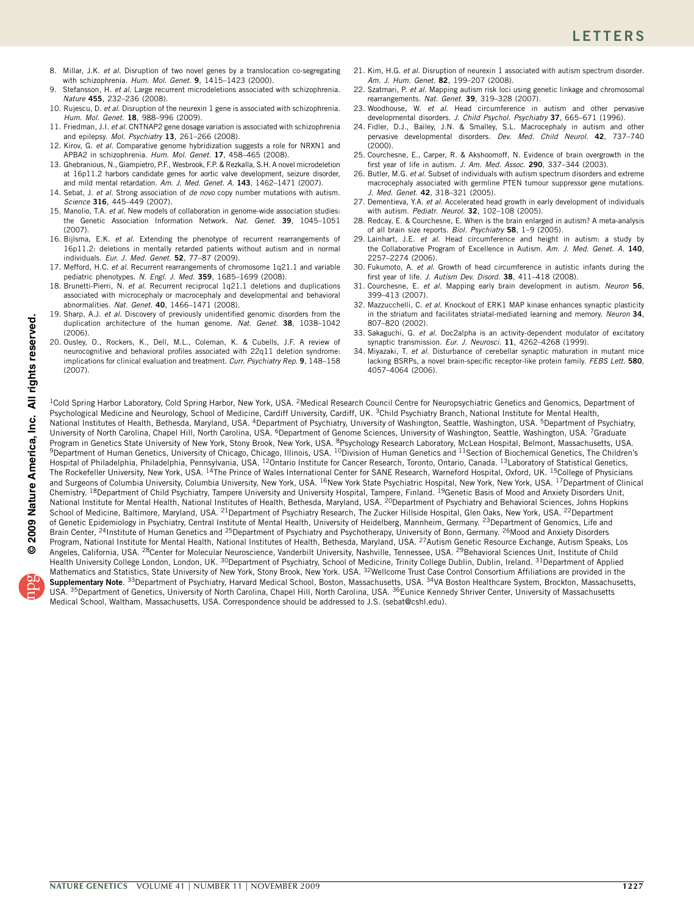- <span id="page-4-1"></span>8. Millar, J.K. *et al.* Disruption of two novel genes by a translocation co-segregating with schizophrenia. *Hum. Mol. Genet.* **9**, 1415–1423 (2000).
- <span id="page-4-0"></span>9. Stefansson, H. *et al.* Large recurrent microdeletions associated with schizophrenia. *Nature* **455**, 232–236 (2008).
- 10. Rujescu, D. *et al.* Disruption of the neurexin 1 gene is associated with schizophrenia. *Hum. Mol. Genet.* **18**, 988–996 (2009).
- 11. Friedman, J.I. *et al.* CNTNAP2 gene dosage variation is associated with schizophrenia and epilepsy. *Mol. Psychiatry* **13**, 261–266 (2008).
- 12. Kirov, G. *et al.* Comparative genome hybridization suggests a role for NRXN1 and APBA2 in schizophrenia. *Hum. Mol. Genet.* **17**, 458–465 (2008).
- 13. Ghebranious, N., Giampietro, P.F., Wesbrook, F.P. & Rezkalla, S.H. A novel microdeletion at 16p11.2 harbors candidate genes for aortic valve development, seizure disorder, and mild mental retardation. *Am. J. Med. Genet. A.* **143**, 1462–1471 (2007).
- 14. Sebat, J. *et al.* Strong association of *de novo* copy number mutations with autism. *Science* **316**, 445–449 (2007).
- 15. Manolio, T.A. *et al.* New models of collaboration in genome-wide association studies: the Genetic Association Information Network. *Nat. Genet.* **39**, 1045–1051 (2007).
- 16. Bijlsma, E.K. *et al.* Extending the phenotype of recurrent rearrangements of 16p11.2: deletions in mentally retarded patients without autism and in normal individuals. *Eur. J. Med. Genet.* **52**, 77–87 (2009).
- 17. Mefford, H.C. *et al.* Recurrent rearrangements of chromosome 1q21.1 and variable pediatric phenotypes. *N. Engl. J. Med.* **359**, 1685–1699 (2008).
- <span id="page-4-3"></span>18. Brunetti-Pierri, N. *et al.* Recurrent reciprocal 1q21.1 deletions and duplications associated with microcephaly or macrocephaly and developmental and behavioral abnormalities. *Nat. Genet.* **40**, 1466–1471 (2008).
- 19. Sharp, A.J. *et al.* Discovery of previously unidentified genomic disorders from the duplication architecture of the human genome. *Nat. Genet.* **38**, 1038–1042  $(2006)$
- 20. Ousley, O., Rockers, K., Dell, M.L., Coleman, K. & Cubells, J.F. A review of neurocognitive and behavioral profiles associated with 22q11 deletion syndrome: implications for clinical evaluation and treatment. *Curr. Psychiatry Rep.* **9**, 148–158 (2007).

Mathematics and Statistics, State University of New York, Stony Brook, New York. USA. <sup>32</sup>Wellcome Trust Case Control Consortium Affiliations are provided in the **Supplementary Note**. 33Department of Psychiatry, Harvard Medical School, Boston, Massachusetts, USA. 34VA Boston Healthcare System, Brockton, Massachusetts, USA. <sup>35</sup>Department of Genetics, University of North Carolina, Chapel Hill, North Carolina, USA. <sup>36</sup>Eunice Kennedy Shriver Center, University of Massachusetts

Medical School, Waltham, Massachusetts, USA. Correspondence should be addressed to J.S. (sebat@cshl.edu).

- 21. Kim, H.G. *et al.* Disruption of neurexin 1 associated with autism spectrum disorder. *Am. J. Hum. Genet.* **82**, 199–207 (2008).
- 22. Szatmari, P. *et al.* Mapping autism risk loci using genetic linkage and chromosomal rearrangements. *Nat. Genet.* **39**, 319–328 (2007).
- 23. Woodhouse, W. *et al.* Head circumference in autism and other pervasive developmental disorders. *J. Child Psychol. Psychiatry* **37**, 665–671 (1996).
- 24. Fidler, D.J., Bailey, J.N. & Smalley, S.L. Macrocephaly in autism and other pervasive developmental disorders. *Dev. Med. Child Neurol.* **42**, 737–740 (2000).
- 25. Courchesne, E., Carper, R. & Akshoomoff, N. Evidence of brain overgrowth in the first year of life in autism. *J. Am. Med. Assoc.* **290**, 337–344 (2003).
- 26. Butler, M.G. *et al.* Subset of individuals with autism spectrum disorders and extreme macrocephaly associated with germline PTEN tumour suppressor gene mutations. *J. Med. Genet.* **42**, 318–321 (2005).
- 27. Dementieva, Y.A. *et al.* Accelerated head growth in early development of individuals with autism. *Pediatr. Neurol.* **32**, 102–108 (2005).
- 28. Redcay, E. & Courchesne, E. When is the brain enlarged in autism? A meta-analysis of all brain size reports. *Biol. Psychiatry* **58**, 1–9 (2005).
- 29. Lainhart, J.E. *et al.* Head circumference and height in autism: a study by the Collaborative Program of Excellence in Autism. *Am. J. Med. Genet. A.* **140**, 2257–2274 (2006).
- 30. Fukumoto, A. *et al.* Growth of head circumference in autistic infants during the first year of life. *J. Autism Dev. Disord.* **38**, 411–418 (2008).
- <span id="page-4-2"></span>31. Courchesne, E. *et al.* Mapping early brain development in autism. *Neuron* **56**, 399–413 (2007).
- 32. Mazzucchelli, C. *et al.* Knockout of ERK1 MAP kinase enhances synaptic plasticity in the striatum and facilitates striatal-mediated learning and memory. *Neuron* **34**, 807–820 (2002).
- 33. Sakaguchi, G. *et al.* Doc2alpha is an activity-dependent modulator of excitatory synaptic transmission. *Eur. J. Neurosci.* **11**, 4262–4268 (1999).
- 34. Miyazaki, T. *et al.* Disturbance of cerebellar synaptic maturation in mutant mice lacking BSRPs, a novel brain-specific receptor-like protein family. *FEBS Lett.* **580**, 4057–4064 (2006).

2009 Nature America, Inc. All rights reserved. **© 2009 Nature America, Inc. All rights reserved.**<sup>1</sup>Cold Spring Harbor Laboratory, Cold Spring Harbor, New York, USA. <sup>2</sup>Medical Research Council Centre for Neuropsychiatric Genetics and Genomics, Department of Psychological Medicine and Neurology, School of Medicine, Cardiff University, Cardiff, UK. <sup>3</sup>Child Psychiatry Branch, National Institute for Mental Health, National Institutes of Health, Bethesda, Maryland, USA. <sup>4</sup>Department of Psychiatry, University of Washington, Seattle, Washington, USA. <sup>5</sup>Department of Psychiatry, University of North Carolina, Chapel Hill, North Carolina, USA. 6Department of Genome Sciences, University of Washington, Seattle, Washington, USA. 7Graduate Program in Genetics State University of New York, Stony Brook, New York, USA. <sup>8</sup>Psychology Research Laboratory, McLean Hospital, Belmont, Massachusetts, USA.<br><sup>9</sup>Department of Human Genetics, University of Chicago, Chicago Hospital of Philadelphia, Philadelphia, Pennsylvania, USA. <sup>12</sup>Ontario Institute for Cancer Research, Toronto, Ontario, Canada. <sup>13</sup>Laboratory of Statistical Genetics, The Rockefeller University, New York, USA. <sup>14</sup>The Prince of Wales International Center for SANE Research, Warneford Hospital, Oxford, UK. <sup>15</sup>College of Physicians and Surgeons of Columbia University, Columbia University, New York, USA. <sup>16</sup>New York State Psychiatric Hospital, New York, New York, USA. <sup>17</sup>Department of Clinical Chemistry. 18Department of Child Psychiatry, Tampere University and University Hospital, Tampere, Finland. 19Genetic Basis of Mood and Anxiety Disorders Unit, National Institute for Mental Health, National Institutes of Health, Bethesda, Maryland, USA. <sup>20</sup>Department of Psychiatry and Behavioral Sciences, Johns Hopkins School of Medicine, Baltimore, Maryland, USA. <sup>21</sup>Department of Psychiatry Research, The Zucker Hillside Hospital, Glen Oaks, New York, USA. <sup>22</sup>Department of Genetic Epidemiology in Psychiatry, Central Institute of Mental Health, University of Heidelberg, Mannheim, Germany. <sup>23</sup>Department of Genomics, Life and Brain Center, <sup>24</sup>Institute of Human Genetics and <sup>25</sup>Department of Psychiatry and Psychotherapy, University of Bonn, Germany. <sup>26</sup>Mood and Anxiety Disorders Program, National Institute for Mental Health, National Institutes of Health, Bethesda, Maryland, USA. <sup>27</sup>Autism Genetic Resource Exchange, Autism Speaks, Los Angeles, California, USA. <sup>28</sup>Center for Molecular Neuroscience, Vanderbilt University, Nashville, Tennessee, USA. <sup>29</sup>Behavioral Sciences Unit, Institute of Child Health University College London, London, UK. <sup>30</sup>Department of Psychiatry, School of Medicine, Trinity College Dublin, Dublin, Ireland. <sup>31</sup>Department of Applied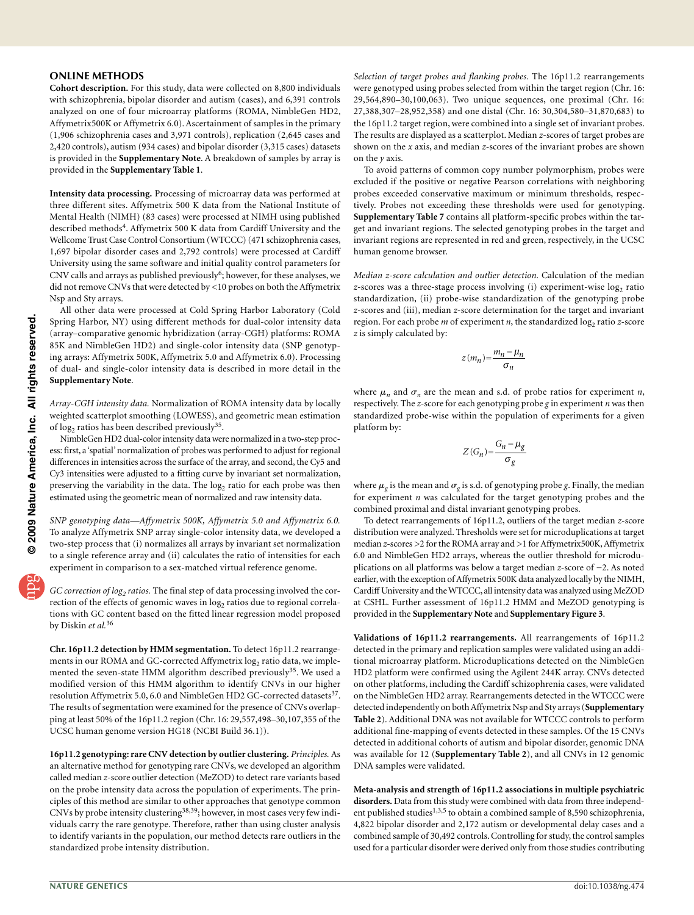## **ONLINE METHODS**

**Cohort description.** For this study, data were collected on 8,800 individuals with schizophrenia, bipolar disorder and autism (cases), and 6,391 controls analyzed on one of four microarray platforms (ROMA, NimbleGen HD2, Affymetrix500K or Affymetrix 6.0). Ascertainment of samples in the primary (1,906 schizophrenia cases and 3,971 controls), replication (2,645 cases and 2,420 controls), autism (934 cases) and bipolar disorder (3,315 cases) datasets is provided in the **Supplementary Note**. A breakdown of samples by array is provided in the **Supplementary Table 1**.

**Intensity data processing.** Processing of microarray data was performed at three different sites. Affymetrix 500 K data from the National Institute of Mental Health (NIMH) (83 cases) were processed at NIMH using published described methods<sup>4</sup>. Affymetrix 500 K data from Cardiff University and the Wellcome Trust Case Control Consortium (WTCCC) (471 schizophrenia cases, 1,697 bipolar disorder cases and 2,792 controls) were processed at Cardiff University using the same software and initial quality control parameters for CNV calls and arrays as published previously[6;](#page-3-2) however, for these analyses, we did not remove CNVs that were detected by <10 probes on both the Affymetrix Nsp and Sty arrays.

All other data were processed at Cold Spring Harbor Laboratory (Cold Spring Harbor, NY) using different methods for dual-color intensity data (array–comparative genomic hybridization (array-CGH) platforms: ROMA 85K and NimbleGen HD2) and single-color intensity data (SNP genotyping arrays: Affymetrix 500K, Affymetrix 5.0 and Affymetrix 6.0). Processing of dual- and single-color intensity data is described in more detail in the **Supplementary Note**.

*Array-CGH intensity data.* Normalization of ROMA intensity data by locally weighted scatterplot smoothing (LOWESS), and geometric mean estimation of log<sub>2</sub> ratios has been described previously<sup>35</sup>.

NimbleGen HD2 dual-color intensity data were normalized in a two-step process: first, a 'spatial' normalization of probes was performed to adjust for regional differences in intensities across the surface of the array, and second, the Cy5 and Cy3 intensities were adjusted to a fitting curve by invariant set normalization, preserving the variability in the data. The  $log<sub>2</sub>$  ratio for each probe was then estimated using the geometric mean of normalized and raw intensity data.

*SNP genotyping data—Affymetrix 500K, Affymetrix 5.0 and Affymetrix 6.0.* To analyze Affymetrix SNP array single-color intensity data, we developed a two-step process that (i) normalizes all arrays by invariant set normalization to a single reference array and (ii) calculates the ratio of intensities for each experiment in comparison to a sex-matched virtual reference genome.

*GC correction of log2 ratios.* The final step of data processing involved the correction of the effects of genomic waves in log<sub>2</sub> ratios due to regional correlations with GC content based on the fitted linear regression model proposed by Diskin *et al.*[36](#page-6-1)

**Chr. 16p11.2 detection by HMM segmentation.** To detect 16p11.2 rearrangements in our ROMA and GC-corrected Affymetrix log<sub>2</sub> ratio data, we implemented the seven-state HMM algorithm described previously<sup>35</sup>. We used a modified version of this HMM algorithm to identify CNVs in our higher resolution Affymetrix 5.0, 6.0 and NimbleGen HD2 GC-corrected datasets<sup>37</sup>. The results of segmentation were examined for the presence of CNVs overlapping at least 50% of the 16p11.2 region (Chr. 16: 29,557,498–30,107,355 of the UCSC human genome version HG18 (NCBI Build 36.1)).

**16p11.2 genotyping: rare CNV detection by outlier clustering.** *Principles.* As an alternative method for genotyping rare CNVs, we developed an algorithm called median *z*-score outlier detection (MeZOD) to detect rare variants based on the probe intensity data across the population of experiments. The principles of this method are similar to other approaches that genotype common CNVs by probe intensity clustering38,39; however, in most cases very few individuals carry the rare genotype. Therefore, rather than using cluster analysis to identify variants in the population, our method detects rare outliers in the standardized probe intensity distribution.

*Selection of target probes and flanking probes.* The 16p11.2 rearrangements were genotyped using probes selected from within the target region (Chr. 16: 29,564,890–30,100,063). Two unique sequences, one proximal (Chr. 16: 27,388,307–28,952,358) and one distal (Chr. 16: 30,304,580–31,870,683) to the 16p11.2 target region, were combined into a single set of invariant probes. The results are displayed as a scatterplot. Median *z*-scores of target probes are shown on the *x* axis, and median *z*-scores of the invariant probes are shown on the *y* axis.

To avoid patterns of common copy number polymorphism, probes were excluded if the positive or negative Pearson correlations with neighboring probes exceeded conservative maximum or minimum thresholds, respectively. Probes not exceeding these thresholds were used for genotyping. **Supplementary Table 7** contains all platform-specific probes within the target and invariant regions. The selected genotyping probes in the target and invariant regions are represented in red and green, respectively, in the UCSC human genome browser.

*Median z-score calculation and outlier detection.* Calculation of the median *z*-scores was a three-stage process involving (i) experiment-wise log<sub>2</sub> ratio standardization, (ii) probe-wise standardization of the genotyping probe *z*-scores and (iii), median *z*-score determination for the target and invariant region. For each probe *m* of experiment *n*, the standardized log<sub>2</sub> ratio *z*-score *z* is simply calculated by:

$$
z(m_n) = \frac{m_n - \mu_n}{\sigma_n}
$$

where  $\mu_n$  and  $\sigma_n$  are the mean and s.d. of probe ratios for experiment *n*, respectively. The *z*-score for each genotyping probe *g* in experiment *n* was then standardized probe-wise within the population of experiments for a given platform by:

$$
Z(G_n) = \frac{G_n - \mu_g}{\sigma_g}
$$

where  $\mu_{\varrho}$  is the mean and  $\sigma_{\varrho}$  is s.d. of genotyping probe *g*. Finally, the median for experiment *n* was calculated for the target genotyping probes and the combined proximal and distal invariant genotyping probes.

To detect rearrangements of 16p11.2, outliers of the target median *z*-score distribution were analyzed. Thresholds were set for microduplications at target median *z*-scores >2 for the ROMA array and >1 for Affymetrix500K, Affymetrix 6.0 and NimbleGen HD2 arrays, whereas the outlier threshold for microduplications on all platforms was below a target median *z*-score of −2. As noted earlier, with the exception of Affymetrix 500K data analyzed locally by the NIMH, Cardiff University and the WTCCC, all intensity data was analyzed using MeZOD at CSHL. Further assessment of 16p11.2 HMM and MeZOD genotyping is provided in the **Supplementary Note** and **Supplementary Figure 3**.

**Validations of 16p11.2 rearrangements.** All rearrangements of 16p11.2 detected in the primary and replication samples were validated using an additional microarray platform. Microduplications detected on the NimbleGen HD2 platform were confirmed using the Agilent 244K array. CNVs detected on other platforms, including the Cardiff schizophrenia cases, were validated on the NimbleGen HD2 array. Rearrangements detected in the WTCCC were detected independently on both Affymetrix Nsp and Sty arrays (**Supplementary Table 2**). Additional DNA was not available for WTCCC controls to perform additional fine-mapping of events detected in these samples. Of the 15 CNVs detected in additional cohorts of autism and bipolar disorder, genomic DNA was available for 12 (**Supplementary Table 2**), and all CNVs in 12 genomic DNA samples were validated.

**Meta-analysis and strength of 16p11.2 associations in multiple psychiatric disorders.** Data from this study were combined with data from three independent published studies<sup>1,3,5</sup> to obtain a combined sample of 8,590 schizophrenia, 4,822 bipolar disorder and 2,172 autism or developmental delay cases and a combined sample of 30,492 controls. Controlling for study, the control samples used for a particular disorder were derived only from those studies contributing